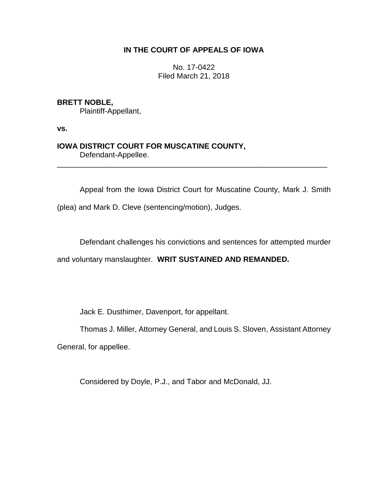# **IN THE COURT OF APPEALS OF IOWA**

No. 17-0422 Filed March 21, 2018

### **BRETT NOBLE,**

Plaintiff-Appellant,

**vs.**

## **IOWA DISTRICT COURT FOR MUSCATINE COUNTY,** Defendant-Appellee.

Appeal from the Iowa District Court for Muscatine County, Mark J. Smith

\_\_\_\_\_\_\_\_\_\_\_\_\_\_\_\_\_\_\_\_\_\_\_\_\_\_\_\_\_\_\_\_\_\_\_\_\_\_\_\_\_\_\_\_\_\_\_\_\_\_\_\_\_\_\_\_\_\_\_\_\_\_\_\_

(plea) and Mark D. Cleve (sentencing/motion), Judges.

Defendant challenges his convictions and sentences for attempted murder

and voluntary manslaughter. **WRIT SUSTAINED AND REMANDED.**

Jack E. Dusthimer, Davenport, for appellant.

Thomas J. Miller, Attorney General, and Louis S. Sloven, Assistant Attorney

General, for appellee.

Considered by Doyle, P.J., and Tabor and McDonald, JJ.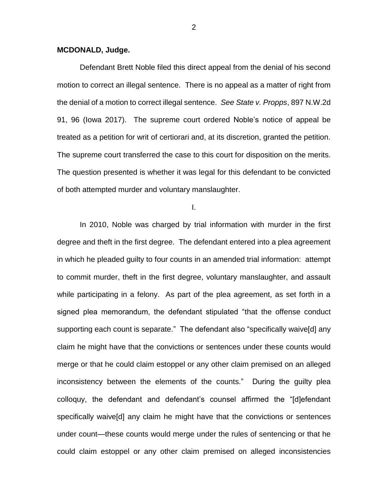### **MCDONALD, Judge.**

Defendant Brett Noble filed this direct appeal from the denial of his second motion to correct an illegal sentence. There is no appeal as a matter of right from the denial of a motion to correct illegal sentence. *See State v. Propps*, 897 N.W.2d 91, 96 (Iowa 2017). The supreme court ordered Noble's notice of appeal be treated as a petition for writ of certiorari and, at its discretion, granted the petition. The supreme court transferred the case to this court for disposition on the merits. The question presented is whether it was legal for this defendant to be convicted of both attempted murder and voluntary manslaughter.

I.

In 2010, Noble was charged by trial information with murder in the first degree and theft in the first degree. The defendant entered into a plea agreement in which he pleaded guilty to four counts in an amended trial information: attempt to commit murder, theft in the first degree, voluntary manslaughter, and assault while participating in a felony. As part of the plea agreement, as set forth in a signed plea memorandum, the defendant stipulated "that the offense conduct supporting each count is separate." The defendant also "specifically waive[d] any claim he might have that the convictions or sentences under these counts would merge or that he could claim estoppel or any other claim premised on an alleged inconsistency between the elements of the counts." During the guilty plea colloquy, the defendant and defendant's counsel affirmed the "[d]efendant specifically waive[d] any claim he might have that the convictions or sentences under count—these counts would merge under the rules of sentencing or that he could claim estoppel or any other claim premised on alleged inconsistencies

2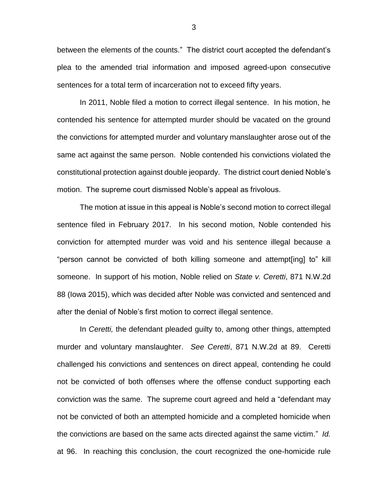between the elements of the counts." The district court accepted the defendant's plea to the amended trial information and imposed agreed-upon consecutive sentences for a total term of incarceration not to exceed fifty years.

In 2011, Noble filed a motion to correct illegal sentence. In his motion, he contended his sentence for attempted murder should be vacated on the ground the convictions for attempted murder and voluntary manslaughter arose out of the same act against the same person. Noble contended his convictions violated the constitutional protection against double jeopardy. The district court denied Noble's motion. The supreme court dismissed Noble's appeal as frivolous.

The motion at issue in this appeal is Noble's second motion to correct illegal sentence filed in February 2017. In his second motion, Noble contended his conviction for attempted murder was void and his sentence illegal because a "person cannot be convicted of both killing someone and attempt[ing] to" kill someone. In support of his motion, Noble relied on *State v. Ceretti*, 871 N.W.2d 88 (Iowa 2015), which was decided after Noble was convicted and sentenced and after the denial of Noble's first motion to correct illegal sentence.

In *Ceretti,* the defendant pleaded guilty to, among other things, attempted murder and voluntary manslaughter. *See Ceretti*, 871 N.W.2d at 89. Ceretti challenged his convictions and sentences on direct appeal, contending he could not be convicted of both offenses where the offense conduct supporting each conviction was the same. The supreme court agreed and held a "defendant may not be convicted of both an attempted homicide and a completed homicide when the convictions are based on the same acts directed against the same victim." *Id.* at 96. In reaching this conclusion, the court recognized the one-homicide rule

3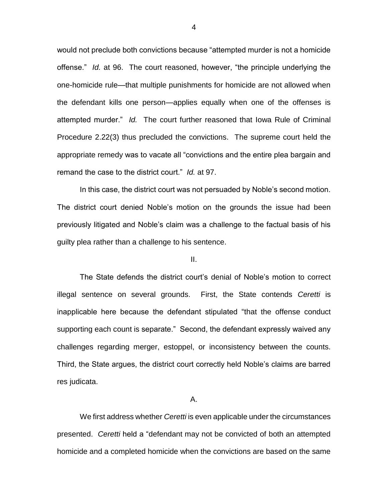would not preclude both convictions because "attempted murder is not a homicide offense." *Id.* at 96. The court reasoned, however, "the principle underlying the one-homicide rule—that multiple punishments for homicide are not allowed when the defendant kills one person—applies equally when one of the offenses is attempted murder." *Id.* The court further reasoned that Iowa Rule of Criminal Procedure 2.22(3) thus precluded the convictions. The supreme court held the appropriate remedy was to vacate all "convictions and the entire plea bargain and remand the case to the district court." *Id.* at 97.

In this case, the district court was not persuaded by Noble's second motion. The district court denied Noble's motion on the grounds the issue had been previously litigated and Noble's claim was a challenge to the factual basis of his guilty plea rather than a challenge to his sentence.

II.

The State defends the district court's denial of Noble's motion to correct illegal sentence on several grounds. First, the State contends *Ceretti* is inapplicable here because the defendant stipulated "that the offense conduct supporting each count is separate." Second, the defendant expressly waived any challenges regarding merger, estoppel, or inconsistency between the counts. Third, the State argues, the district court correctly held Noble's claims are barred res judicata.

A.

We first address whether *Ceretti* is even applicable under the circumstances presented. *Ceretti* held a "defendant may not be convicted of both an attempted homicide and a completed homicide when the convictions are based on the same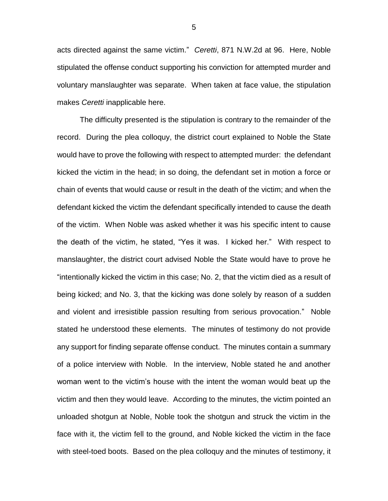acts directed against the same victim." *Ceretti*, 871 N.W.2d at 96. Here, Noble stipulated the offense conduct supporting his conviction for attempted murder and voluntary manslaughter was separate. When taken at face value, the stipulation makes *Ceretti* inapplicable here.

The difficulty presented is the stipulation is contrary to the remainder of the record. During the plea colloquy, the district court explained to Noble the State would have to prove the following with respect to attempted murder: the defendant kicked the victim in the head; in so doing, the defendant set in motion a force or chain of events that would cause or result in the death of the victim; and when the defendant kicked the victim the defendant specifically intended to cause the death of the victim. When Noble was asked whether it was his specific intent to cause the death of the victim, he stated, "Yes it was. I kicked her." With respect to manslaughter, the district court advised Noble the State would have to prove he "intentionally kicked the victim in this case; No. 2, that the victim died as a result of being kicked; and No. 3, that the kicking was done solely by reason of a sudden and violent and irresistible passion resulting from serious provocation." Noble stated he understood these elements. The minutes of testimony do not provide any support for finding separate offense conduct. The minutes contain a summary of a police interview with Noble. In the interview, Noble stated he and another woman went to the victim's house with the intent the woman would beat up the victim and then they would leave. According to the minutes, the victim pointed an unloaded shotgun at Noble, Noble took the shotgun and struck the victim in the face with it, the victim fell to the ground, and Noble kicked the victim in the face with steel-toed boots. Based on the plea colloquy and the minutes of testimony, it

5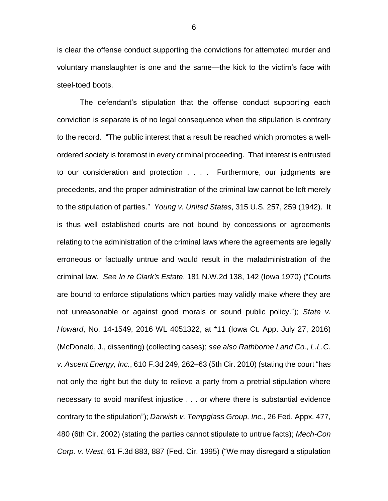is clear the offense conduct supporting the convictions for attempted murder and voluntary manslaughter is one and the same—the kick to the victim's face with steel-toed boots.

The defendant's stipulation that the offense conduct supporting each conviction is separate is of no legal consequence when the stipulation is contrary to the record. "The public interest that a result be reached which promotes a wellordered society is foremost in every criminal proceeding. That interest is entrusted to our consideration and protection . . . . Furthermore, our judgments are precedents, and the proper administration of the criminal law cannot be left merely to the stipulation of parties." *Young v. United States*, 315 U.S. 257, 259 (1942). It is thus well established courts are not bound by concessions or agreements relating to the administration of the criminal laws where the agreements are legally erroneous or factually untrue and would result in the maladministration of the criminal law. *See In re Clark's Estate*, 181 N.W.2d 138, 142 (Iowa 1970) ("Courts are bound to enforce stipulations which parties may validly make where they are not unreasonable or against good morals or sound public policy."); *State v. Howard*, No. 14-1549, 2016 WL 4051322, at \*11 (Iowa Ct. App. July 27, 2016) (McDonald, J., dissenting) (collecting cases); *see also Rathborne Land Co., L.L.C. v. Ascent Energy, Inc.*, 610 F.3d 249, 262–63 (5th Cir. 2010) (stating the court "has not only the right but the duty to relieve a party from a pretrial stipulation where necessary to avoid manifest injustice . . . or where there is substantial evidence contrary to the stipulation"); *Darwish v. Tempglass Group, Inc.*, 26 Fed. Appx. 477, 480 (6th Cir. 2002) (stating the parties cannot stipulate to untrue facts); *Mech-Con Corp. v. West*, 61 F.3d 883, 887 (Fed. Cir. 1995) ("We may disregard a stipulation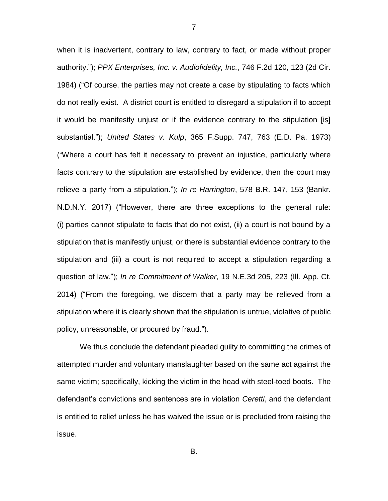when it is inadvertent, contrary to law, contrary to fact, or made without proper authority."); *PPX Enterprises, Inc. v. Audiofidelity, Inc.*, 746 F.2d 120, 123 (2d Cir. 1984) ("Of course, the parties may not create a case by stipulating to facts which do not really exist. A district court is entitled to disregard a stipulation if to accept it would be manifestly unjust or if the evidence contrary to the stipulation [is] substantial."); *United States v. Kulp*, 365 F.Supp. 747, 763 (E.D. Pa. 1973) ("Where a court has felt it necessary to prevent an injustice, particularly where facts contrary to the stipulation are established by evidence, then the court may relieve a party from a stipulation."); *In re Harrington*, 578 B.R. 147, 153 (Bankr. N.D.N.Y. 2017) ("However, there are three exceptions to the general rule: (i) parties cannot stipulate to facts that do not exist, (ii) a court is not bound by a stipulation that is manifestly unjust, or there is substantial evidence contrary to the stipulation and (iii) a court is not required to accept a stipulation regarding a question of law."); *In re Commitment of Walker*, 19 N.E.3d 205, 223 (Ill. App. Ct. 2014) ("From the foregoing, we discern that a party may be relieved from a stipulation where it is clearly shown that the stipulation is untrue, violative of public policy, unreasonable, or procured by fraud.").

We thus conclude the defendant pleaded guilty to committing the crimes of attempted murder and voluntary manslaughter based on the same act against the same victim; specifically, kicking the victim in the head with steel-toed boots. The defendant's convictions and sentences are in violation *Ceretti*, and the defendant is entitled to relief unless he has waived the issue or is precluded from raising the issue.

7

B.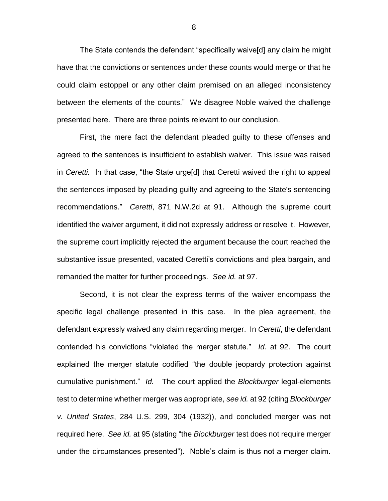The State contends the defendant "specifically waive[d] any claim he might have that the convictions or sentences under these counts would merge or that he could claim estoppel or any other claim premised on an alleged inconsistency between the elements of the counts." We disagree Noble waived the challenge presented here. There are three points relevant to our conclusion.

First, the mere fact the defendant pleaded guilty to these offenses and agreed to the sentences is insufficient to establish waiver. This issue was raised in *Ceretti.* In that case, "the State urge[d] that Ceretti waived the right to appeal the sentences imposed by pleading guilty and agreeing to the State's sentencing recommendations." *Ceretti*, 871 N.W.2d at 91. Although the supreme court identified the waiver argument, it did not expressly address or resolve it. However, the supreme court implicitly rejected the argument because the court reached the substantive issue presented, vacated Ceretti's convictions and plea bargain, and remanded the matter for further proceedings. *See id.* at 97.

Second, it is not clear the express terms of the waiver encompass the specific legal challenge presented in this case. In the plea agreement, the defendant expressly waived any claim regarding merger. In *Ceretti*, the defendant contended his convictions "violated the merger statute." *Id.* at 92. The court explained the merger statute codified "the double jeopardy protection against cumulative punishment." *Id.* The court applied the *Blockburger* legal-elements test to determine whether merger was appropriate, *see id.* at 92 (citing *Blockburger v. United States*, 284 U.S. 299, 304 (1932)), and concluded merger was not required here. *See id.* at 95 (stating "the *Blockburger* test does not require merger under the circumstances presented"). Noble's claim is thus not a merger claim.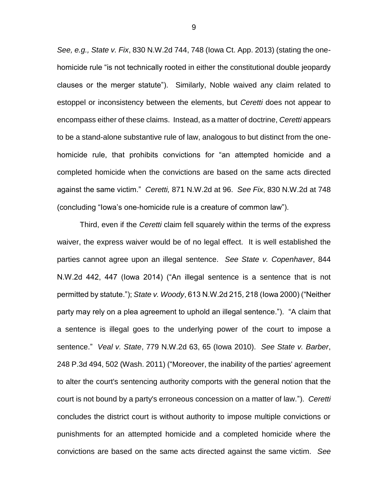*See, e.g., State v. Fix*, 830 N.W.2d 744, 748 (Iowa Ct. App. 2013) (stating the onehomicide rule "is not technically rooted in either the constitutional double jeopardy clauses or the merger statute"). Similarly, Noble waived any claim related to estoppel or inconsistency between the elements, but *Ceretti* does not appear to encompass either of these claims. Instead, as a matter of doctrine, *Ceretti* appears to be a stand-alone substantive rule of law, analogous to but distinct from the onehomicide rule, that prohibits convictions for "an attempted homicide and a completed homicide when the convictions are based on the same acts directed against the same victim." *Ceretti,* 871 N.W.2d at 96. *See Fix*, 830 N.W.2d at 748 (concluding "Iowa's one-homicide rule is a creature of common law").

Third, even if the *Ceretti* claim fell squarely within the terms of the express waiver, the express waiver would be of no legal effect. It is well established the parties cannot agree upon an illegal sentence. *See State v. Copenhaver*, 844 N.W.2d 442, 447 (Iowa 2014) ("An illegal sentence is a sentence that is not permitted by statute."); *State v. Woody*, 613 N.W.2d 215, 218 (Iowa 2000) ("Neither party may rely on a plea agreement to uphold an illegal sentence."). "A claim that a sentence is illegal goes to the underlying power of the court to impose a sentence." *Veal v. State*, 779 N.W.2d 63, 65 (Iowa 2010). *See State v. Barber*, 248 P.3d 494, 502 (Wash. 2011) ("Moreover, the inability of the parties' agreement to alter the court's sentencing authority comports with the general notion that the court is not bound by a party's erroneous concession on a matter of law."). *Ceretti* concludes the district court is without authority to impose multiple convictions or punishments for an attempted homicide and a completed homicide where the convictions are based on the same acts directed against the same victim. *See*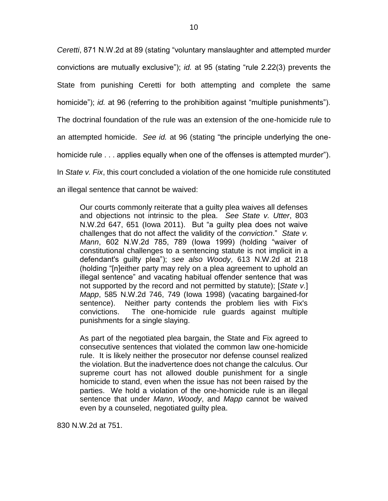*Ceretti*, 871 N.W.2d at 89 (stating "voluntary manslaughter and attempted murder convictions are mutually exclusive"); *id.* at 95 (stating "rule 2.22(3) prevents the State from punishing Ceretti for both attempting and complete the same homicide"); *id.* at 96 (referring to the prohibition against "multiple punishments"). The doctrinal foundation of the rule was an extension of the one-homicide rule to an attempted homicide. *See id.* at 96 (stating "the principle underlying the onehomicide rule . . . applies equally when one of the offenses is attempted murder"). In *State v. Fix*, this court concluded a violation of the one homicide rule constituted an illegal sentence that cannot be waived:

Our courts commonly reiterate that a guilty plea waives all defenses and objections not intrinsic to the plea. *See State v. Utter*, 803 N.W.2d 647, 651 (Iowa 2011). But "a guilty plea does not waive challenges that do not affect the validity of the *conviction*." *State v. Mann*, 602 N.W.2d 785, 789 (Iowa 1999) (holding "waiver of constitutional challenges to a sentencing statute is not implicit in a defendant's guilty plea"); *see also Woody*, 613 N.W.2d at 218 (holding "[n]either party may rely on a plea agreement to uphold an illegal sentence" and vacating habitual offender sentence that was not supported by the record and not permitted by statute); [*State v.*] *Mapp*, 585 N.W.2d 746, 749 (Iowa 1998) (vacating bargained-for sentence). Neither party contends the problem lies with Fix's convictions. The one-homicide rule guards against multiple punishments for a single slaying.

As part of the negotiated plea bargain, the State and Fix agreed to consecutive sentences that violated the common law one-homicide rule. It is likely neither the prosecutor nor defense counsel realized the violation. But the inadvertence does not change the calculus. Our supreme court has not allowed double punishment for a single homicide to stand, even when the issue has not been raised by the parties. We hold a violation of the one-homicide rule is an illegal sentence that under *Mann*, *Woody*, and *Mapp* cannot be waived even by a counseled, negotiated guilty plea.

830 N.W.2d at 751.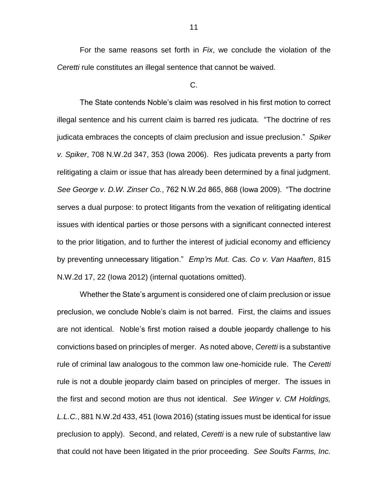For the same reasons set forth in *Fix*, we conclude the violation of the *Ceretti* rule constitutes an illegal sentence that cannot be waived.

C.

The State contends Noble's claim was resolved in his first motion to correct illegal sentence and his current claim is barred res judicata. "The doctrine of res judicata embraces the concepts of claim preclusion and issue preclusion." *Spiker v. Spiker*, 708 N.W.2d 347, 353 (Iowa 2006). Res judicata prevents a party from relitigating a claim or issue that has already been determined by a final judgment. *See George v. D.W. Zinser Co.*, 762 N.W.2d 865, 868 (Iowa 2009). "The doctrine serves a dual purpose: to protect litigants from the vexation of relitigating identical issues with identical parties or those persons with a significant connected interest to the prior litigation, and to further the interest of judicial economy and efficiency by preventing unnecessary litigation." *Emp'rs Mut. Cas. Co v. Van Haaften*, 815 N.W.2d 17, 22 (Iowa 2012) (internal quotations omitted).

Whether the State's argument is considered one of claim preclusion or issue preclusion, we conclude Noble's claim is not barred. First, the claims and issues are not identical. Noble's first motion raised a double jeopardy challenge to his convictions based on principles of merger. As noted above, *Ceretti* is a substantive rule of criminal law analogous to the common law one-homicide rule. The *Ceretti* rule is not a double jeopardy claim based on principles of merger. The issues in the first and second motion are thus not identical. *See Winger v. CM Holdings, L.L.C.*, 881 N.W.2d 433, 451 (Iowa 2016) (stating issues must be identical for issue preclusion to apply). Second, and related, *Ceretti* is a new rule of substantive law that could not have been litigated in the prior proceeding. *See Soults Farms, Inc.*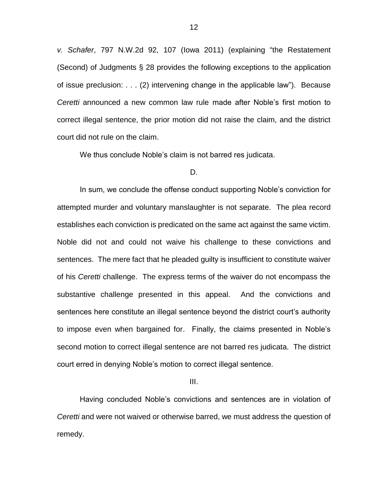*v. Schafer*, 797 N.W.2d 92, 107 (Iowa 2011) (explaining "the Restatement (Second) of Judgments § 28 provides the following exceptions to the application of issue preclusion: . . . (2) intervening change in the applicable law"). Because *Ceretti* announced a new common law rule made after Noble's first motion to correct illegal sentence, the prior motion did not raise the claim, and the district court did not rule on the claim.

We thus conclude Noble's claim is not barred res judicata.

#### D.

In sum, we conclude the offense conduct supporting Noble's conviction for attempted murder and voluntary manslaughter is not separate. The plea record establishes each conviction is predicated on the same act against the same victim. Noble did not and could not waive his challenge to these convictions and sentences. The mere fact that he pleaded guilty is insufficient to constitute waiver of his *Ceretti* challenge. The express terms of the waiver do not encompass the substantive challenge presented in this appeal. And the convictions and sentences here constitute an illegal sentence beyond the district court's authority to impose even when bargained for. Finally, the claims presented in Noble's second motion to correct illegal sentence are not barred res judicata. The district court erred in denying Noble's motion to correct illegal sentence.

III.

Having concluded Noble's convictions and sentences are in violation of *Ceretti* and were not waived or otherwise barred, we must address the question of remedy.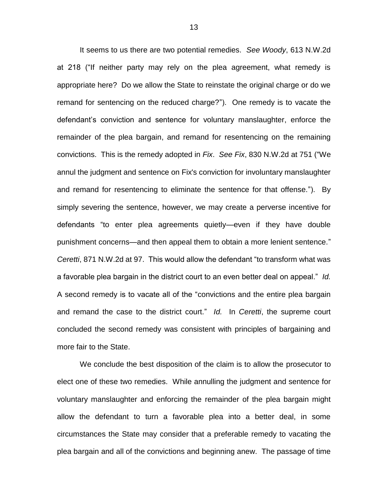It seems to us there are two potential remedies. *See Woody*, 613 N.W.2d at 218 ("If neither party may rely on the plea agreement, what remedy is appropriate here? Do we allow the State to reinstate the original charge or do we remand for sentencing on the reduced charge?"). One remedy is to vacate the defendant's conviction and sentence for voluntary manslaughter, enforce the remainder of the plea bargain, and remand for resentencing on the remaining convictions. This is the remedy adopted in *Fix*. *See Fix*, 830 N.W.2d at 751 ("We annul the judgment and sentence on Fix's conviction for involuntary manslaughter and remand for resentencing to eliminate the sentence for that offense."). By simply severing the sentence, however, we may create a perverse incentive for defendants "to enter plea agreements quietly—even if they have double punishment concerns—and then appeal them to obtain a more lenient sentence." *Ceretti*, 871 N.W.2d at 97. This would allow the defendant "to transform what was a favorable plea bargain in the district court to an even better deal on appeal." *Id.* A second remedy is to vacate all of the "convictions and the entire plea bargain and remand the case to the district court." *Id.* In *Ceretti*, the supreme court concluded the second remedy was consistent with principles of bargaining and more fair to the State.

We conclude the best disposition of the claim is to allow the prosecutor to elect one of these two remedies. While annulling the judgment and sentence for voluntary manslaughter and enforcing the remainder of the plea bargain might allow the defendant to turn a favorable plea into a better deal, in some circumstances the State may consider that a preferable remedy to vacating the plea bargain and all of the convictions and beginning anew. The passage of time